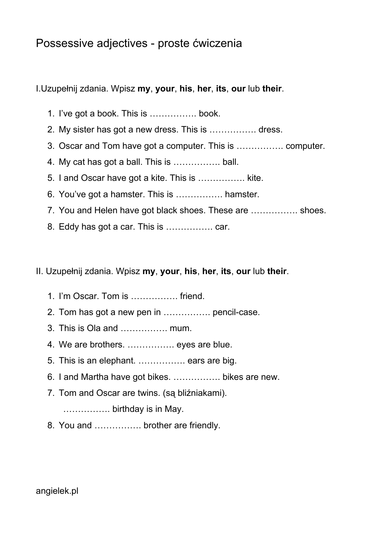## Possessive adjectives - proste ćwiczenia

I.Uzupełnij zdania. Wpisz **my**, **your**, **his**, **her**, **its**, **our**lub **their**.

- 1. I've got a book. This is ……………. book.
- 2. My sister has got a new dress. This is ……………. dress.
- 3. Oscar and Tom have got a computer. This is ……………. computer.
- 4. My cat has got a ball. This is ……………. ball.
- 5. I and Oscar have got a kite. This is ……………. kite.
- 6. You've got a hamster. This is ……………. hamster.
- 7. You and Helen have got black shoes. These are ……………. shoes.
- 8. Eddy has got a car. This is ……………. car.

II. Uzupełnij zdania. Wpisz **my**, **your**, **his**, **her**, **its**, **our**lub **their**.

- 1. I'm Oscar. Tom is ……………. friend.
- 2. Tom has got a new pen in ……………. pencil-case.
- 3. This is Ola and ……………. mum.
- 4. We are brothers. ……………. eyes are blue.
- 5. This is an elephant. ……………. ears are big.
- 6. I and Martha have got bikes. ……………. bikes are new.
- 7. Tom and Oscar are twins. (są bliźniakami).

……………. birthday is in May.

8. You and ……………. brother are friendly.